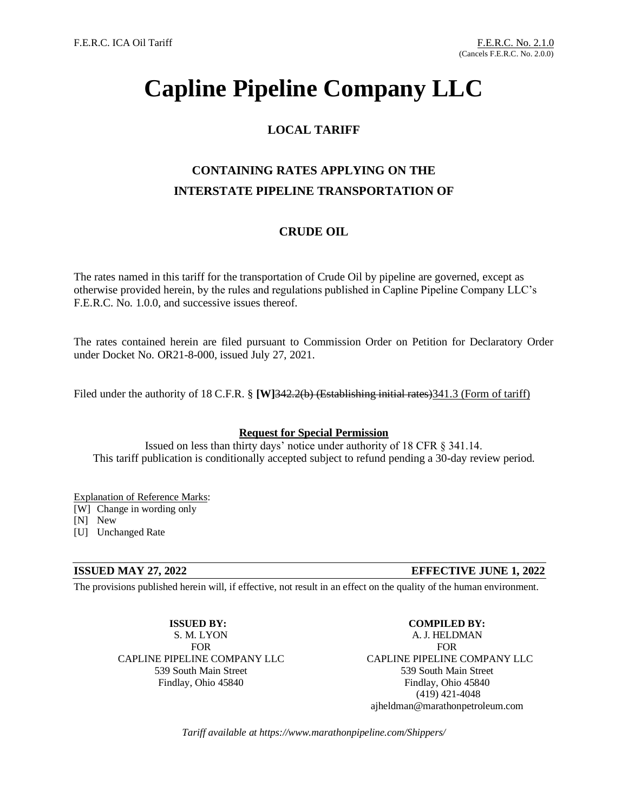# **Capline Pipeline Company LLC**

### **LOCAL TARIFF**

### **CONTAINING RATES APPLYING ON THE INTERSTATE PIPELINE TRANSPORTATION OF**

### **CRUDE OIL**

The rates named in this tariff for the transportation of Crude Oil by pipeline are governed, except as otherwise provided herein, by the rules and regulations published in Capline Pipeline Company LLC's F.E.R.C. No. 1.0.0, and successive issues thereof.

The rates contained herein are filed pursuant to Commission Order on Petition for Declaratory Order under Docket No. OR21-8-000, issued July 27, 2021.

Filed under the authority of 18 C.F.R. § **[W]342.2(b)** (Establishing initial rates) 341.3 (Form of tariff)

### **Request for Special Permission**

Issued on less than thirty days' notice under authority of 18 CFR § 341.14. This tariff publication is conditionally accepted subject to refund pending a 30-day review period.

### Explanation of Reference Marks:

[W] Change in wording only

[N] New

[U] Unchanged Rate

### **ISSUED MAY 27, 2022 EFFECTIVE JUNE 1, 2022**

The provisions published herein will, if effective, not result in an effect on the quality of the human environment.

### **ISSUED BY:** S. M. LYON

FOR CAPLINE PIPELINE COMPANY LLC 539 South Main Street Findlay, Ohio 45840

**COMPILED BY:** A. J. HELDMAN FOR CAPLINE PIPELINE COMPANY LLC 539 South Main Street Findlay, Ohio 45840 (419) 421-4048 ajheldman@marathonpetroleum.com

*Tariff available at https://www.marathonpipeline.com/Shippers/*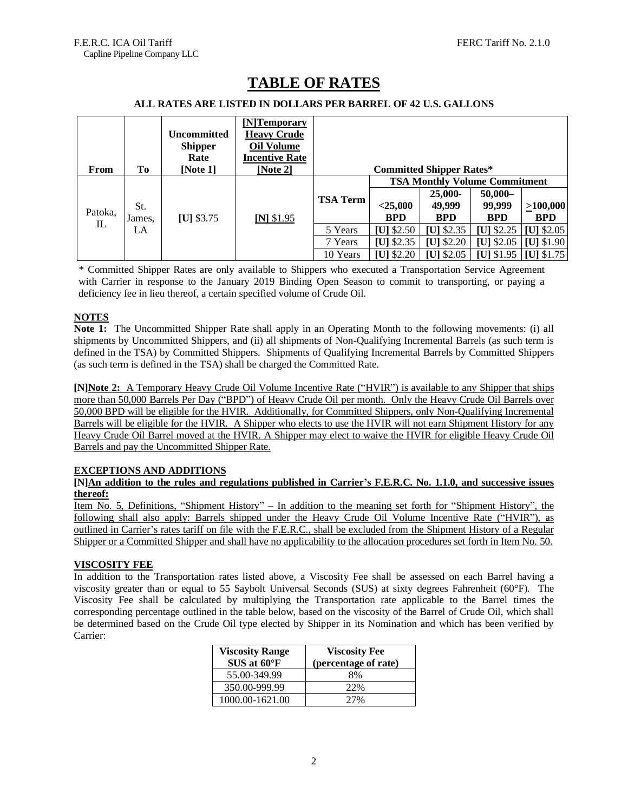| From          | Tо                  | <b>Uncommitted</b><br><b>Shipper</b><br>Rate<br>[Note 1] | [N]Temporary<br><b>Heavy Crude</b><br>Oil Volume<br><b>Incentive Rate</b><br>[Note 2] |                 |                                      | <b>Committed Shipper Rates*</b> |                         |              |
|---------------|---------------------|----------------------------------------------------------|---------------------------------------------------------------------------------------|-----------------|--------------------------------------|---------------------------------|-------------------------|--------------|
| Patoka,<br>IL | St.<br>James.<br>LA | $[U]$ \$3.75                                             | $[N]$ \$1.95                                                                          | <b>TSA Term</b> | <b>TSA Monthly Volume Commitment</b> |                                 |                         |              |
|               |                     |                                                          |                                                                                       |                 |                                      | $25,000-$                       | $50,000-$               |              |
|               |                     |                                                          |                                                                                       |                 | $<$ 25,000                           | 49,999                          | 99,999                  | >100,000     |
|               |                     |                                                          |                                                                                       |                 | <b>BPD</b>                           | <b>BPD</b>                      | <b>BPD</b>              | <b>BPD</b>   |
|               |                     |                                                          |                                                                                       | 5 Years         | $ U $ \$2.50                         | $[U]$ \$2.35                    | $[U]$ \$2.25            | $ U $ \$2.05 |
|               |                     |                                                          |                                                                                       | 7 Years         | $[U]$ \$2.35                         | $[U]$ \$2.20                    | [U] $$2.05$             | $[U]$ \$1.90 |
|               |                     |                                                          |                                                                                       | 10 Years        | [U] $$2.20$                          | [U] $$2.05$                     | [U] $$1.95$ [U] $$1.75$ |              |

## **TABLE OF RATES**

### **ALL RATES ARE LISTED IN DOLLARS PER BARREL OF 42 U.S. GALLONS**

\* Committed Shipper Rates are only available to Shippers who executed a Transportation Service Agreement with Carrier in response to the January 2019 Binding Open Season to commit to transporting, or paying a deficiency fee in lieu thereof, a certain specified volume of Crude Oil.

### **NOTES**

**Note 1:** The Uncommitted Shipper Rate shall apply in an Operating Month to the following movements: (i) all shipments by Uncommitted Shippers, and (ii) all shipments of Non-Qualifying Incremental Barrels (as such term is defined in the TSA) by Committed Shippers. Shipments of Qualifying Incremental Barrels by Committed Shippers (as such term is defined in the TSA) shall be charged the Committed Rate.

**[N]Note 2:** A Temporary Heavy Crude Oil Volume Incentive Rate ("HVIR") is available to any Shipper that ships more than 50,000 Barrels Per Day ("BPD") of Heavy Crude Oil per month. Only the Heavy Crude Oil Barrels over 50,000 BPD will be eligible for the HVIR. Additionally, for Committed Shippers, only Non-Qualifying Incremental Barrels will be eligible for the HVIR. A Shipper who elects to use the HVIR will not earn Shipment History for any Heavy Crude Oil Barrel moved at the HVIR. A Shipper may elect to waive the HVIR for eligible Heavy Crude Oil Barrels and pay the Uncommitted Shipper Rate.

### **EXCEPTIONS AND ADDITIONS**

### **[N]An addition to the rules and regulations published in Carrier's F.E.R.C. No. 1.1.0, and successive issues thereof:**

Item No. 5, Definitions, "Shipment History" – In addition to the meaning set forth for "Shipment History", the following shall also apply: Barrels shipped under the Heavy Crude Oil Volume Incentive Rate ("HVIR"), as outlined in Carrier's rates tariff on file with the F.E.R.C., shall be excluded from the Shipment History of a Regular Shipper or a Committed Shipper and shall have no applicability to the allocation procedures set forth in Item No. 50.

### **VISCOSITY FEE**

In addition to the Transportation rates listed above, a Viscosity Fee shall be assessed on each Barrel having a viscosity greater than or equal to 55 Saybolt Universal Seconds (SUS) at sixty degrees Fahrenheit (60°F). The Viscosity Fee shall be calculated by multiplying the Transportation rate applicable to the Barrel times the corresponding percentage outlined in the table below, based on the viscosity of the Barrel of Crude Oil, which shall be determined based on the Crude Oil type elected by Shipper in its Nomination and which has been verified by Carrier:

| <b>Viscosity Range</b> | <b>Viscosity Fee</b> |  |  |  |
|------------------------|----------------------|--|--|--|
| $SUS$ at $60^{\circ}F$ | (percentage of rate) |  |  |  |
| 55.00-349.99           | 8%                   |  |  |  |
| 350.00-999.99          | 22%                  |  |  |  |
| 1000.00-1621.00        | 27%                  |  |  |  |